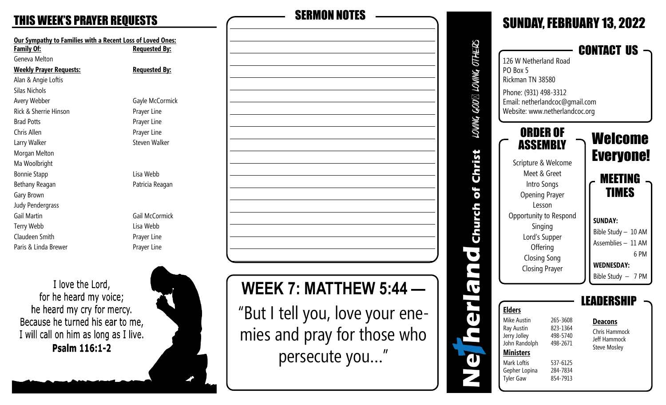**Our Sympathy to Families with a Recent Loss of Loved Ones: Family Of: Requested By:** Geneva Melton **Weekly Prayer Requests: Requested By:** Alan & Angie Loftis Silas Nichols Avery Webber Gayle McCormick Rick & Sherrie Hinson **Prayer Line** Brad Potts **Prayer Line** Chris Allen **Prayer Line** Larry Walker **Steven Walker** Steven Walker Morgan Melton Ma Woolbright Bonnie Stapp **Lisa Webb** Bethany Reagan **Patricia Reagan** Gary Brown Judy Pendergrass Gail Martin Gail McCormick Terry Webb Lisa Webb Claudeen Smith **Prayer Line** Paris & Linda Brewer **Prayer Line** 

I love the Lord, for he heard my voice; he heard my cry for mercy. Because he turned his ear to me, I will call on him as long as I live. Psalm 116:1-2





# **WEEK 7: MATTHEW 5:44 —**

"But I tell you, love your enemies and pray for those who persecute you…"

#### SUNDAY, FEBRUARY 13, 2022 LOVING GOD⊠ LOVING OTHERS CONTACT US 126 W Netherland Road PO Box 5 Rickman TN 38580 Phone: (931) 498 -3312 Email: netherlandcoc@gmail.com Website: www.netherlandcoc.org ORDER OF Welcome ASSEMBLY Christ Everyone! Scripture & Welcome Meet & Greet MEETING Intro Songs of TIMES Opening Prayer Lesson Church Opportunity to Respond **SUNDAY:** Singing Bible Study – 10 AM Lord's Supper Assemblies – 11 AM **Offering**  $\bullet$  6 PM Closing Song **WEDNESDAY:** Closing Prayer Bible Study – 7 PM  $\blacktriangledown$ LEADERSHIP t<br>d **Elders** Mike Austin 265-3608 **Deacons Ray Austin** 823-1364 Chris Hammock 498-5740 Jerry Jolley Jeff Hammock John Randolph 498-2671 Steve Mosley **Ministers** đ Mark Loftis 537-6125 Gepher Lopina 284-7834 854-7913 **Tyler Gaw**